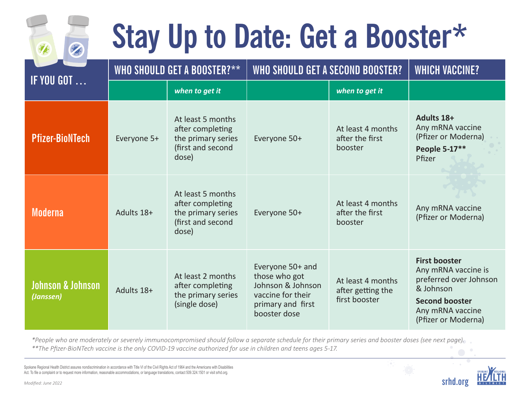## **Stay Up to Date: Get a Booster\***

| <b>IF YOU GOT </b>                        | WHO SHOULD GET A BOOSTER?** |                                                                                           | WHO SHOULD GET A SECOND BOOSTER?                                                                                 | <b>WHICH VACCINE?</b>                                   |                                                                                                                                                        |
|-------------------------------------------|-----------------------------|-------------------------------------------------------------------------------------------|------------------------------------------------------------------------------------------------------------------|---------------------------------------------------------|--------------------------------------------------------------------------------------------------------------------------------------------------------|
|                                           |                             | when to get it                                                                            |                                                                                                                  | when to get it                                          |                                                                                                                                                        |
| <b>Pfizer-BioNTech</b>                    | Everyone 5+                 | At least 5 months<br>after completing<br>the primary series<br>(first and second<br>dose) | Everyone 50+                                                                                                     | At least 4 months<br>after the first<br>booster         | Adults 18+<br>Any mRNA vaccine<br>(Pfizer or Moderna)<br>People 5-17**<br>Pfizer                                                                       |
| <b>Moderna</b>                            | Adults 18+                  | At least 5 months<br>after completing<br>the primary series<br>(first and second<br>dose) | Everyone 50+                                                                                                     | At least 4 months<br>after the first<br>booster         | Any mRNA vaccine<br>(Pfizer or Moderna)                                                                                                                |
| <b>Johnson &amp; Johnson</b><br>(Janssen) | Adults 18+                  | At least 2 months<br>after completing<br>the primary series<br>(single dose)              | Everyone 50+ and<br>those who got<br>Johnson & Johnson<br>vaccine for their<br>primary and first<br>booster dose | At least 4 months<br>after getting the<br>first booster | <b>First booster</b><br>Any mRNA vaccine is<br>preferred over Johnson<br>& Johnson<br><b>Second booster</b><br>Any mRNA vaccine<br>(Pfizer or Moderna) |

*\*People who are moderately or severely immunocompromised should follow a separate schedule for their primary series and booster doses (see next page). \*\*The Pfizer-BioNTech vaccine is the only COVID-19 vaccine authorized for use in children and teens ages 5-17.*

Spokane Regional Health District assures nondiscrimination in accordance with Title VI of the Civil Rights Act of 1964 and the Americans with Disabilities Act. To file a complaint or to request more information, reasonable accommodations, or language translations, contact 509.324.1501 or visit srhd.org.